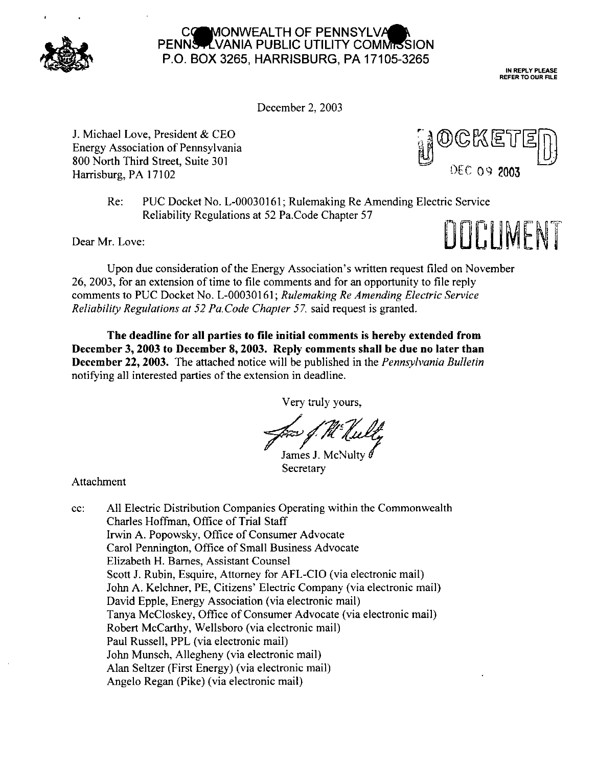

## MONWEALTH OF PENNSYLVA PENNS-LVANIA PUBLIC UTILITY COMMISSION P.O. BOX 3265, HARRISBURG, PA 17105-3265

IN REPLY PLEASE REFER TO OUR RLE

December 2, 2003

J. Michael Love, President & CEO Energy Association of Pennsylvania 800 North Third Street, Suite 301 Harrisburg, PA 17102



Re: PUC Docket No. L-00030161; Rulemaking Re Amending Electric Service Reliability Regulations at 52 Pa.Code Chapter 57

Dear Mr. Love:



Upon due consideration of the Energy Association's written request filed on November 26, 2003, for an extension of time to file comments and for an opportunity to file reply comments to PUC Docket No. L-00030161; *Rulemaking Re Amending Electric Service Reliability Regulations at 52 Pa.Code Chapter 57,* said request is granted.

**The deadline for all parties to file initial comments is hereby extended from December 3, 2003 to December 8, 2003. Reply comments shall be due no later than December 22,2003.** The attached notice will be published in the *Pennsylvania Bulletin* notifying all interested parties of the extension in deadline.

Very truly yours.

James J. McNulty

Secretary

Attachment

cc: All Electric Distribution Companies Operating within the Commonwealth Charles Hoffman, Office of Trial Staff Irwin A. Popowsky, Office of Consumer Advocate Carol Pennington, Office of Small Business Advocate Elizabeth H. Bames, Assistant Counsel Scott J. Rubin, Esquire, Attorney for AFL-CIO (via electronic mail) John A. Kelchner, PE, Citizens' Electric Company (via electronic mail) David Epple, Energy Association (via electronic mail) Tanya McCloskey, Office of Consumer Advocate (via electronic mail) Robert McCarthy, Wellsboro (via electronic mail) Paul Russell, PPL (via electronic mail) John Munsch, Allegheny (via electronic mail) Alan Seltzer (First Energy) (via electronic mail) Angelo Regan (Pike) (via electronic mail)